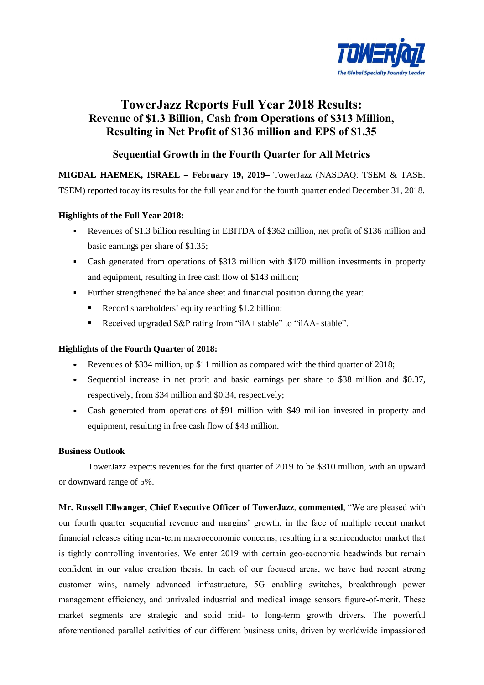

# **TowerJazz Reports Full Year 2018 Results: Revenue of \$1.3 Billion, Cash from Operations of \$313 Million, Resulting in Net Profit of \$136 million and EPS of \$1.35**

# **Sequential Growth in the Fourth Quarter for All Metrics**

**MIGDAL HAEMEK, ISRAEL – February 19, 2019–** TowerJazz (NASDAQ: TSEM & TASE:

TSEM) reported today its results for the full year and for the fourth quarter ended December 31, 2018.

# **Highlights of the Full Year 2018:**

- Revenues of \$1.3 billion resulting in EBITDA of \$362 million, net profit of \$136 million and basic earnings per share of \$1.35;
- Cash generated from operations of \$313 million with \$170 million investments in property and equipment, resulting in free cash flow of \$143 million;
- Further strengthened the balance sheet and financial position during the year:
	- Record shareholders' equity reaching \$1.2 billion;
	- Received upgraded S&P rating from "ilA+ stable" to "ilAA- stable".

# **Highlights of the Fourth Quarter of 2018:**

- Revenues of \$334 million, up \$11 million as compared with the third quarter of 2018;
- Sequential increase in net profit and basic earnings per share to \$38 million and \$0.37, respectively, from \$34 million and \$0.34, respectively;
- Cash generated from operations of \$91 million with \$49 million invested in property and equipment, resulting in free cash flow of \$43 million.

# **Business Outlook**

TowerJazz expects revenues for the first quarter of 2019 to be \$310 million, with an upward or downward range of 5%.

**Mr. Russell Ellwanger, Chief Executive Officer of TowerJazz**, **commented**, "We are pleased with our fourth quarter sequential revenue and margins' growth, in the face of multiple recent market financial releases citing near-term macroeconomic concerns, resulting in a semiconductor market that is tightly controlling inventories. We enter 2019 with certain geo-economic headwinds but remain confident in our value creation thesis. In each of our focused areas, we have had recent strong customer wins, namely advanced infrastructure, 5G enabling switches, breakthrough power management efficiency, and unrivaled industrial and medical image sensors figure-of-merit. These market segments are strategic and solid mid- to long-term growth drivers. The powerful aforementioned parallel activities of our different business units, driven by worldwide impassioned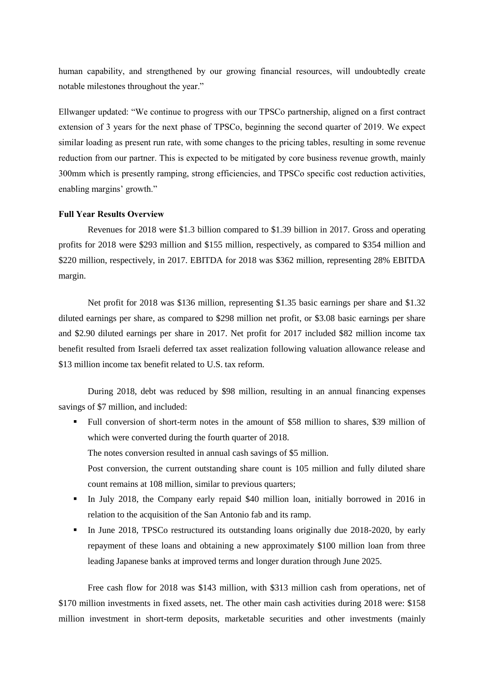human capability, and strengthened by our growing financial resources, will undoubtedly create notable milestones throughout the year."

Ellwanger updated: "We continue to progress with our TPSCo partnership, aligned on a first contract extension of 3 years for the next phase of TPSCo, beginning the second quarter of 2019. We expect similar loading as present run rate, with some changes to the pricing tables, resulting in some revenue reduction from our partner. This is expected to be mitigated by core business revenue growth, mainly 300mm which is presently ramping, strong efficiencies, and TPSCo specific cost reduction activities, enabling margins' growth."

#### **Full Year Results Overview**

Revenues for 2018 were \$1.3 billion compared to \$1.39 billion in 2017. Gross and operating profits for 2018 were \$293 million and \$155 million, respectively, as compared to \$354 million and \$220 million, respectively, in 2017. EBITDA for 2018 was \$362 million, representing 28% EBITDA margin.

Net profit for 2018 was \$136 million, representing \$1.35 basic earnings per share and \$1.32 diluted earnings per share, as compared to \$298 million net profit, or \$3.08 basic earnings per share and \$2.90 diluted earnings per share in 2017. Net profit for 2017 included \$82 million income tax benefit resulted from Israeli deferred tax asset realization following valuation allowance release and \$13 million income tax benefit related to U.S. tax reform.

During 2018, debt was reduced by \$98 million, resulting in an annual financing expenses savings of \$7 million, and included:

 Full conversion of short-term notes in the amount of \$58 million to shares, \$39 million of which were converted during the fourth quarter of 2018.

The notes conversion resulted in annual cash savings of \$5 million.

Post conversion, the current outstanding share count is 105 million and fully diluted share count remains at 108 million, similar to previous quarters;

- In July 2018, the Company early repaid \$40 million loan, initially borrowed in 2016 in relation to the acquisition of the San Antonio fab and its ramp.
- In June 2018, TPSCo restructured its outstanding loans originally due 2018-2020, by early repayment of these loans and obtaining a new approximately \$100 million loan from three leading Japanese banks at improved terms and longer duration through June 2025.

Free cash flow for 2018 was \$143 million, with \$313 million cash from operations, net of \$170 million investments in fixed assets, net. The other main cash activities during 2018 were: \$158 million investment in short-term deposits, marketable securities and other investments (mainly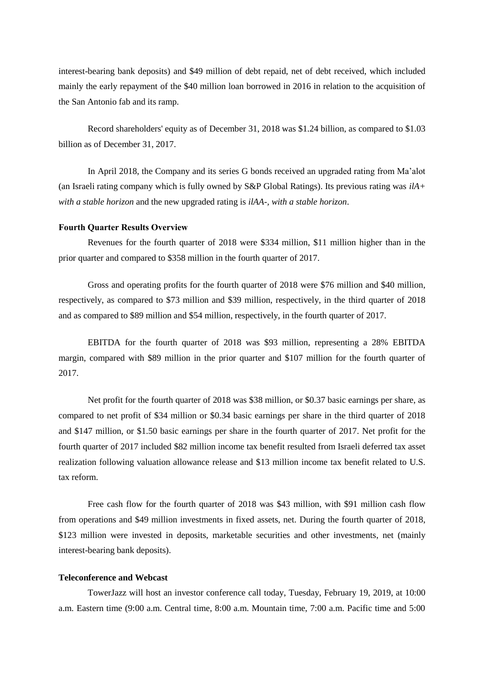interest-bearing bank deposits) and \$49 million of debt repaid, net of debt received, which included mainly the early repayment of the \$40 million loan borrowed in 2016 in relation to the acquisition of the San Antonio fab and its ramp.

Record shareholders' equity as of December 31, 2018 was \$1.24 billion, as compared to \$1.03 billion as of December 31, 2017.

In April 2018, the Company and its series G bonds received an upgraded rating from Ma'alot (an Israeli rating company which is fully owned by S&P Global Ratings). Its previous rating was *ilA+ with a stable horizon* and the new upgraded rating is *ilAA-, with a stable horizon*.

# **Fourth Quarter Results Overview**

Revenues for the fourth quarter of 2018 were \$334 million, \$11 million higher than in the prior quarter and compared to \$358 million in the fourth quarter of 2017.

Gross and operating profits for the fourth quarter of 2018 were \$76 million and \$40 million, respectively, as compared to \$73 million and \$39 million, respectively, in the third quarter of 2018 and as compared to \$89 million and \$54 million, respectively, in the fourth quarter of 2017.

EBITDA for the fourth quarter of 2018 was \$93 million, representing a 28% EBITDA margin, compared with \$89 million in the prior quarter and \$107 million for the fourth quarter of 2017.

Net profit for the fourth quarter of 2018 was \$38 million, or \$0.37 basic earnings per share, as compared to net profit of \$34 million or \$0.34 basic earnings per share in the third quarter of 2018 and \$147 million, or \$1.50 basic earnings per share in the fourth quarter of 2017. Net profit for the fourth quarter of 2017 included \$82 million income tax benefit resulted from Israeli deferred tax asset realization following valuation allowance release and \$13 million income tax benefit related to U.S. tax reform.

Free cash flow for the fourth quarter of 2018 was \$43 million, with \$91 million cash flow from operations and \$49 million investments in fixed assets, net. During the fourth quarter of 2018, \$123 million were invested in deposits, marketable securities and other investments, net (mainly interest-bearing bank deposits).

#### **Teleconference and Webcast**

TowerJazz will host an investor conference call today, Tuesday, February 19, 2019, at 10:00 a.m. Eastern time (9:00 a.m. Central time, 8:00 a.m. Mountain time, 7:00 a.m. Pacific time and 5:00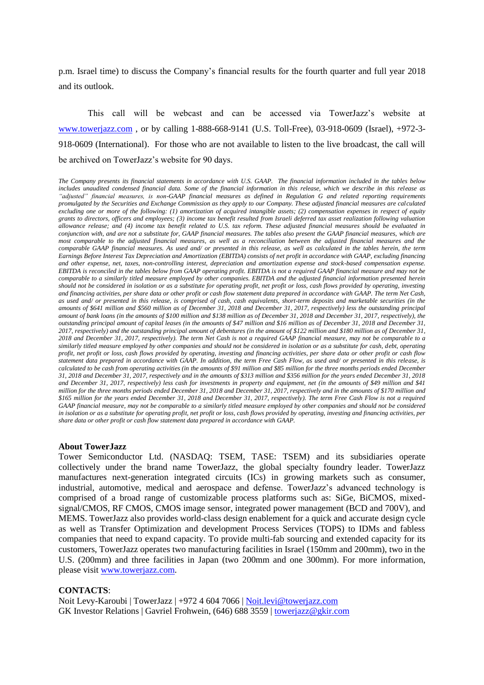p.m. Israel time) to discuss the Company's financial results for the fourth quarter and full year 2018 and its outlook.

This call will be webcast and can be accessed via TowerJazz's website at [www.towerjazz.com](http://www.towerjazz.com/) , or by calling 1-888-668-9141 (U.S. Toll-Free), 03-918-0609 (Israel), +972-3- 918-0609 (International). For those who are not available to listen to the live broadcast, the call will be archived on TowerJazz's website for 90 days.

*The Company presents its financial statements in accordance with U.S. GAAP. The financial information included in the tables below includes unaudited condensed financial data. Some of the financial information in this release, which we describe in this release as "adjusted" financial measures, is non-GAAP financial measures as defined in Regulation G and related reporting requirements promulgated by the Securities and Exchange Commission as they apply to our Company. These adjusted financial measures are calculated excluding one or more of the following: (1) amortization of acquired intangible assets; (2) compensation expenses in respect of equity grants to directors, officers and employees; (3) income tax benefit resulted from Israeli deferred tax asset realization following valuation allowance release; and (4) income tax benefit related to U.S. tax reform. These adjusted financial measures should be evaluated in conjunction with, and are not a substitute for, GAAP financial measures. The tables also present the GAAP financial measures, which are most comparable to the adjusted financial measures, as well as a reconciliation between the adjusted financial measures and the comparable GAAP financial measures. As used and/ or presented in this release, as well as calculated in the tables herein, the term Earnings Before Interest Tax Depreciation and Amortization (EBITDA) consists of net profit in accordance with GAAP, excluding financing and other expense, net, taxes, non-controlling interest, depreciation and amortization expense and stock-based compensation expense. EBITDA is reconciled in the tables below from GAAP operating profit. EBITDA is not a required GAAP financial measure and may not be comparable to a similarly titled measure employed by other companies. EBITDA and the adjusted financial information presented herein should not be considered in isolation or as a substitute for operating profit, net profit or loss, cash flows provided by operating, investing and financing activities, per share data or other profit or cash flow statement data prepared in accordance with GAAP. The term Net Cash, as used and/ or presented in this release, is comprised of cash, cash equivalents, short-term deposits and marketable securities (in the amounts of \$641 million and \$560 million as of December 31, 2018 and December 31, 2017, respectively) less the outstanding principal amount of bank loans (in the amounts of \$100 million and \$138 million as of December 31, 2018 and December 31, 2017, respectively), the outstanding principal amount of capital leases (in the amounts of \$47 million and \$16 million as of December 31, 2018 and December 31, 2017, respectively) and the outstanding principal amount of debentures (in the amount of \$122 million and \$180 million as of December 31, 2018 and December 31, 2017, respectively). The term Net Cash is not a required GAAP financial measure, may not be comparable to a similarly titled measure employed by other companies and should not be considered in isolation or as a substitute for cash, debt, operating profit, net profit or loss, cash flows provided by operating, investing and financing activities, per share data or other profit or cash flow statement data prepared in accordance with GAAP. In addition, the term Free Cash Flow, as used and/ or presented in this release, is calculated to be cash from operating activities (in the amounts of \$91 million and \$85 million for the three months periods ended December 31, 2018 and December 31, 2017, respectively and in the amounts of \$313 million and \$356 million for the years ended December 31, 2018 and December 31, 2017, respectively) less cash for investments in property and equipment, net (in the amounts of \$49 million and \$41 million for the three months periods ended December 31, 2018 and December 31, 2017, respectively and in the amounts of \$170 million and \$165 million for the years ended December 31, 2018 and December 31, 2017, respectively). The term Free Cash Flow is not a required GAAP financial measure, may not be comparable to a similarly titled measure employed by other companies and should not be considered in isolation or as a substitute for operating profit, net profit or loss, cash flows provided by operating, investing and financing activities, per share data or other profit or cash flow statement data prepared in accordance with GAAP.*

#### **About TowerJazz**

Tower Semiconductor Ltd. (NASDAQ: TSEM, TASE: TSEM) and its subsidiaries operate collectively under the brand name TowerJazz, the global specialty foundry leader. TowerJazz manufactures next-generation integrated circuits (ICs) in growing markets such as consumer, industrial, automotive, medical and aerospace and defense. TowerJazz's advanced technology is comprised of a broad range of customizable process platforms such as: SiGe, BiCMOS, mixedsignal/CMOS, RF CMOS, CMOS image sensor, integrated power management (BCD and 700V), and MEMS. TowerJazz also provides world-class design enablement for a quick and accurate design cycle as well as Transfer Optimization and development Process Services (TOPS) to IDMs and fabless companies that need to expand capacity. To provide multi-fab sourcing and extended capacity for its customers, TowerJazz operates two manufacturing facilities in Israel (150mm and 200mm), two in the U.S. (200mm) and three facilities in Japan (two 200mm and one 300mm). For more information, please visit [www.towerjazz.com.](http://www.towerjazz.com/)

#### **CONTACTS**:

Noit Levy-Karoubi | TowerJazz | +972 4 604 7066 | [Noit.levi@towerjazz.com](mailto:Noit.levi@towerjazz.com) GK Investor Relations | Gavriel Frohwein, (646) 688 3559 [| towerjazz@gkir.com](mailto:towerjazz@gkir.com)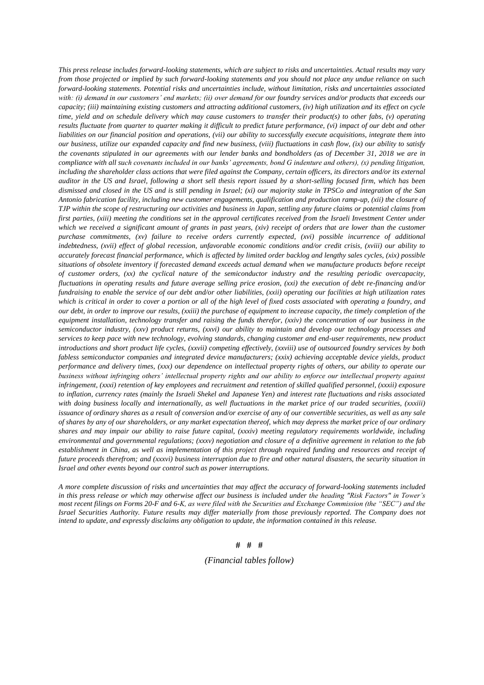*This press release includes forward-looking statements, which are subject to risks and uncertainties. Actual results may vary from those projected or implied by such forward-looking statements and you should not place any undue reliance on such forward-looking statements. Potential risks and uncertainties include, without limitation, risks and uncertainties associated*  with: (i) demand in our customers' end markets; (ii) over demand for our foundry services and/or products that exceeds our *capacity; (iii) maintaining existing customers and attracting additional customers, (iv) high utilization and its effect on cycle time, yield and on schedule delivery which may cause customers to transfer their product(s) to other fabs, (v) operating results fluctuate from quarter to quarter making it difficult to predict future performance, (vi) impact of our debt and other liabilities on our financial position and operations, (vii) our ability to successfully execute acquisitions, integrate them into our business, utilize our expanded capacity and find new business, (viii) fluctuations in cash flow, (ix) our ability to satisfy the covenants stipulated in our agreements with our lender banks and bondholders (as of December 31, 2018 we are in compliance with all such covenants included in our banks' agreements, bond G indenture and others), (x) pending litigation,*  including the shareholder class actions that were filed against the Company, certain officers, its directors and/or its external *auditor in the US and Israel, following a short sell thesis report issued by a short-selling focused firm, which has been dismissed and closed in the US and is still pending in Israel; (xi) our majority stake in TPSCo and integration of the San Antonio fabrication facility, including new customer engagements, qualification and production ramp-up, (xii) the closure of TJP within the scope of restructuring our activities and business in Japan, settling any future claims or potential claims from first parties, (xiii) meeting the conditions set in the approval certificates received from the Israeli Investment Center under which we received a significant amount of grants in past years, (xiv) receipt of orders that are lower than the customer purchase commitments, (xv) failure to receive orders currently expected, (xvi) possible incurrence of additional indebtedness, (xvii) effect of global recession, unfavorable economic conditions and/or credit crisis, (xviii) our ability to accurately forecast financial performance, which is affected by limited order backlog and lengthy sales cycles, (xix) possible situations of obsolete inventory if forecasted demand exceeds actual demand when we manufacture products before receipt of customer orders, (xx) the cyclical nature of the semiconductor industry and the resulting periodic overcapacity, fluctuations in operating results and future average selling price erosion, (xxi) the execution of debt re-financing and/or fundraising to enable the service of our debt and/or other liabilities, (xxii) operating our facilities at high utilization rates which is critical in order to cover a portion or all of the high level of fixed costs associated with operating a foundry, and our debt, in order to improve our results, (xxiii) the purchase of equipment to increase capacity, the timely completion of the equipment installation, technology transfer and raising the funds therefor, (xxiv) the concentration of our business in the semiconductor industry, (xxv) product returns, (xxvi) our ability to maintain and develop our technology processes and services to keep pace with new technology, evolving standards, changing customer and end-user requirements, new product introductions and short product life cycles, (xxvii) competing effectively, (xxviii) use of outsourced foundry services by both fabless semiconductor companies and integrated device manufacturers; (xxix) achieving acceptable device yields, product performance and delivery times, (xxx) our dependence on intellectual property rights of others, our ability to operate our business without infringing others' intellectual property rights and our ability to enforce our intellectual property against infringement, (xxxi) retention of key employees and recruitment and retention of skilled qualified personnel, (xxxii) exposure to inflation, currency rates (mainly the Israeli Shekel and Japanese Yen) and interest rate fluctuations and risks associated with doing business locally and internationally, as well fluctuations in the market price of our traded securities, (xxxiii) issuance of ordinary shares as a result of conversion and/or exercise of any of our convertible securities, as well as any sale of shares by any of our shareholders, or any market expectation thereof, which may depress the market price of our ordinary shares and may impair our ability to raise future capital, (xxxiv) meeting regulatory requirements worldwide, including environmental and governmental regulations; (xxxv) negotiation and closure of a definitive agreement in relation to the fab establishment in China, as well as implementation of this project through required funding and resources and receipt of future proceeds therefrom; and (xxxvi) business interruption due to fire and other natural disasters, the security situation in Israel and other events beyond our control such as power interruptions.* 

*A more complete discussion of risks and uncertainties that may affect the accuracy of forward-looking statements included in this press release or which may otherwise affect our business is included under the heading "Risk Factors" in Tower's most recent filings on Forms 20-F and 6-K, as were filed with the Securities and Exchange Commission (the "SEC") and the Israel Securities Authority. Future results may differ materially from those previously reported. The Company does not intend to update, and expressly disclaims any obligation to update, the information contained in this release.*

#### **# # #**

#### *(Financial tables follow)*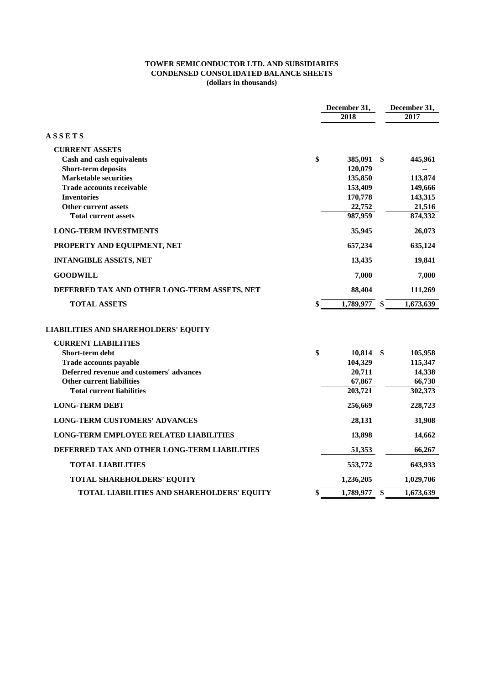### **TOWER SEMICONDUCTOR LTD. AND SUBSIDIARIES CONDENSED CONSOLIDATED BALANCE SHEETS (dollars in thousands)**

|                                               | December 31,       |     | December 31, |
|-----------------------------------------------|--------------------|-----|--------------|
|                                               | 2018               |     | 2017         |
| <b>ASSETS</b>                                 |                    |     |              |
| <b>CURRENT ASSETS</b>                         |                    |     |              |
| Cash and cash equivalents                     | \$<br>385,091      | S.  | 445,961      |
| <b>Short-term deposits</b>                    | 120,079            |     |              |
| <b>Marketable securities</b>                  | 135,850            |     | 113,874      |
| <b>Trade accounts receivable</b>              | 153,409            |     | 149,666      |
| <b>Inventories</b>                            | 170,778            |     | 143,315      |
| Other current assets                          | 22,752             |     | 21,516       |
| <b>Total current assets</b>                   | 987,959            |     | 874,332      |
| <b>LONG-TERM INVESTMENTS</b>                  | 35,945             |     | 26,073       |
| PROPERTY AND EQUIPMENT, NET                   | 657,234            |     | 635,124      |
| <b>INTANGIBLE ASSETS, NET</b>                 | 13,435             |     | 19,841       |
| <b>GOODWILL</b>                               | 7,000              |     | 7,000        |
| DEFERRED TAX AND OTHER LONG-TERM ASSETS, NET  | 88,404             |     | 111,269      |
| <b>TOTAL ASSETS</b>                           | \$<br>1,789,977    | \$. | 1,673,639    |
| <b>LIABILITIES AND SHAREHOLDERS' EQUITY</b>   |                    |     |              |
| <b>CURRENT LIABILITIES</b>                    |                    |     |              |
| Short-term debt                               | \$<br>$10,814$ \$  |     | 105,958      |
| <b>Trade accounts payable</b>                 | 104,329            |     | 115,347      |
| Deferred revenue and customers' advances      | 20,711             |     | 14,338       |
| <b>Other current liabilities</b>              | 67,867             |     | 66,730       |
| <b>Total current liabilities</b>              | 203,721            |     | 302,373      |
| <b>LONG-TERM DEBT</b>                         | 256,669            |     | 228,723      |
| <b>LONG-TERM CUSTOMERS' ADVANCES</b>          | 28,131             |     | 31,908       |
| <b>LONG-TERM EMPLOYEE RELATED LIABILITIES</b> | 13,898             |     | 14,662       |
| DEFERRED TAX AND OTHER LONG-TERM LIABILITIES  | 51,353             |     | 66,267       |
| <b>TOTAL LIABILITIES</b>                      | 553,772            |     | 643,933      |
| TOTAL SHAREHOLDERS' EQUITY                    | 1,236,205          |     | 1,029,706    |
| TOTAL LIABILITIES AND SHAREHOLDERS' EQUITY    | \$<br>1,789,977 \$ |     | 1,673,639    |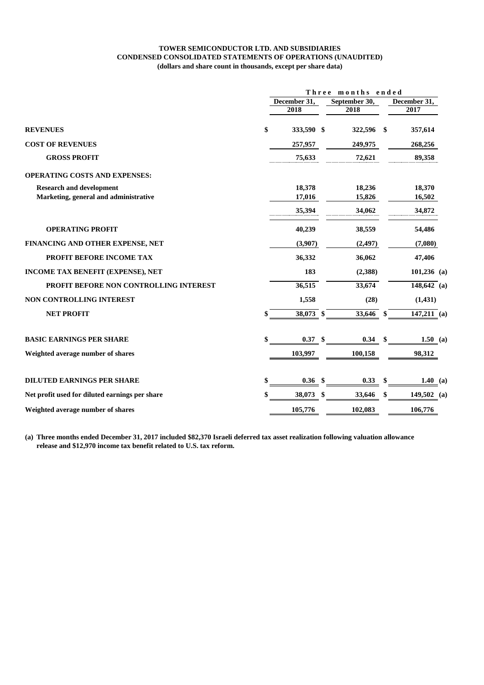#### **TOWER SEMICONDUCTOR LTD. AND SUBSIDIARIES CONDENSED CONSOLIDATED STATEMENTS OF OPERATIONS (UNAUDITED) (dollars and share count in thousands, except per share data)**

|                                                | Three months ended |                   |                   |                   |  |  |  |
|------------------------------------------------|--------------------|-------------------|-------------------|-------------------|--|--|--|
|                                                | December 31.       |                   | September 30,     | December 31,      |  |  |  |
|                                                |                    | 2018              | 2018              | 2017              |  |  |  |
| <b>REVENUES</b>                                | \$                 | 333,590 \$        | 322,596           | 357,614<br>-S     |  |  |  |
| <b>COST OF REVENUES</b>                        |                    | 257,957           | 249,975           | 268,256           |  |  |  |
| <b>GROSS PROFIT</b>                            |                    | 75,633            | 72,621            | 89,358            |  |  |  |
| <b>OPERATING COSTS AND EXPENSES:</b>           |                    |                   |                   |                   |  |  |  |
| <b>Research and development</b>                |                    | 18,378            | 18,236            | 18,370            |  |  |  |
| Marketing, general and administrative          |                    | 17,016            | 15,826            | 16,502            |  |  |  |
|                                                |                    | 35,394            | 34,062            | 34,872            |  |  |  |
| <b>OPERATING PROFIT</b>                        |                    | 40,239            | 38,559            | 54,486            |  |  |  |
| FINANCING AND OTHER EXPENSE, NET               |                    | (3,907)           | (2, 497)          | (7,080)           |  |  |  |
| PROFIT BEFORE INCOME TAX                       |                    | 36,332            | 36,062            | 47,406            |  |  |  |
| INCOME TAX BENEFIT (EXPENSE), NET              |                    | 183               | (2,388)           | $101,236$ (a)     |  |  |  |
| PROFIT BEFORE NON CONTROLLING INTEREST         |                    | 36,515            | 33,674            | 148,642 (a)       |  |  |  |
| NON CONTROLLING INTEREST                       |                    | 1,558             | (28)              | (1, 431)          |  |  |  |
| <b>NET PROFIT</b>                              |                    | 38,073 \$         | 33,646            | 147,211 (a)<br>\$ |  |  |  |
| <b>BASIC EARNINGS PER SHARE</b>                | \$                 | 0.37 <sup>°</sup> | 0.34 <sup>5</sup> | 1.50 (a)          |  |  |  |
| Weighted average number of shares              |                    | 103,997           | 100,158           | 98,312            |  |  |  |
|                                                |                    |                   |                   |                   |  |  |  |
| <b>DILUTED EARNINGS PER SHARE</b>              | \$                 | 0.36<br>-\$       | 0.33              | \$<br>1.40 (a)    |  |  |  |
| Net profit used for diluted earnings per share |                    | 38,073<br>- \$    | 33,646            | \$<br>149,502 (a) |  |  |  |
| Weighted average number of shares              |                    | 105,776           | 102,083           | 106,776           |  |  |  |

**(a) Three months ended December 31, 2017 included \$82,370 Israeli deferred tax asset realization following valuation allowance release and \$12,970 income tax benefit related to U.S. tax reform.**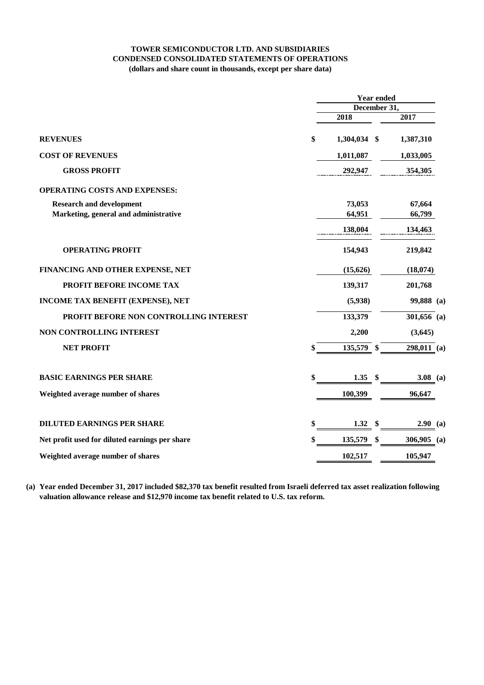# **TOWER SEMICONDUCTOR LTD. AND SUBSIDIARIES CONDENSED CONSOLIDATED STATEMENTS OF OPERATIONS (dollars and share count in thousands, except per share data)**

|                                                |    | <b>Year ended</b><br>December 31, |    |               |  |  |
|------------------------------------------------|----|-----------------------------------|----|---------------|--|--|
|                                                |    |                                   |    |               |  |  |
|                                                |    | 2018                              |    | 2017          |  |  |
| <b>REVENUES</b>                                | \$ | 1,304,034 \$                      |    | 1,387,310     |  |  |
| <b>COST OF REVENUES</b>                        |    | 1,011,087                         |    | 1,033,005     |  |  |
| <b>GROSS PROFIT</b>                            |    | 292,947                           |    | 354,305       |  |  |
| <b>OPERATING COSTS AND EXPENSES:</b>           |    |                                   |    |               |  |  |
| <b>Research and development</b>                |    | 73,053                            |    | 67,664        |  |  |
| Marketing, general and administrative          |    | 64,951                            |    | 66,799        |  |  |
|                                                |    | 138,004                           |    | 134,463       |  |  |
| <b>OPERATING PROFIT</b>                        |    | 154,943                           |    | 219,842       |  |  |
| FINANCING AND OTHER EXPENSE, NET               |    | (15,626)                          |    | (18,074)      |  |  |
| PROFIT BEFORE INCOME TAX                       |    | 139,317                           |    | 201,768       |  |  |
| INCOME TAX BENEFIT (EXPENSE), NET              |    | (5,938)                           |    | 99,888 (a)    |  |  |
| PROFIT BEFORE NON CONTROLLING INTEREST         |    | 133,379                           |    | 301,656 (a)   |  |  |
| <b>NON CONTROLLING INTEREST</b>                |    | 2,200                             |    | (3,645)       |  |  |
| <b>NET PROFIT</b>                              | \$ | 135,579 \$                        |    | $298,011$ (a) |  |  |
| <b>BASIC EARNINGS PER SHARE</b>                | \$ | $1.35$ \$                         |    | 3.08 (a)      |  |  |
| Weighted average number of shares              |    | 100,399                           |    | 96,647        |  |  |
|                                                |    |                                   |    |               |  |  |
| <b>DILUTED EARNINGS PER SHARE</b>              | \$ | $1.32*$                           |    | $2.90$ (a)    |  |  |
| Net profit used for diluted earnings per share | \$ | 135,579                           | \$ | 306,905 (a)   |  |  |
| Weighted average number of shares              |    | 102,517                           |    | 105,947       |  |  |

**(a) Year ended December 31, 2017 included \$82,370 tax benefit resulted from Israeli deferred tax asset realization following valuation allowance release and \$12,970 income tax benefit related to U.S. tax reform.**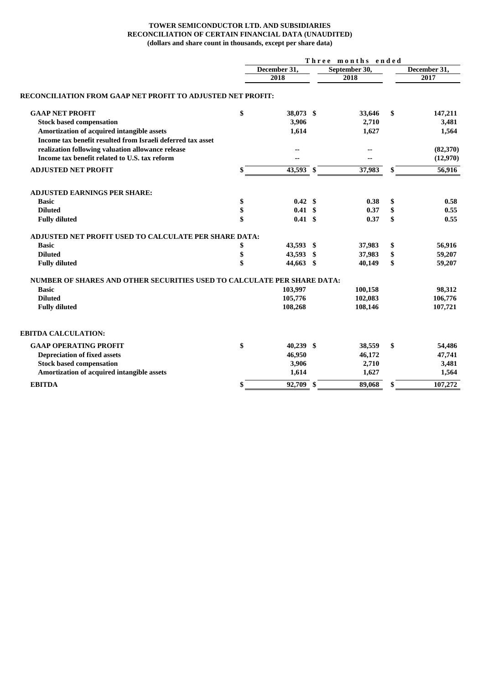#### **TOWER SEMICONDUCTOR LTD. AND SUBSIDIARIES RECONCILIATION OF CERTAIN FINANCIAL DATA (UNAUDITED) (dollars and share count in thousands, except per share data)**

|                                                                                                                  |    | Three months ended |    |               |    |              |  |  |  |
|------------------------------------------------------------------------------------------------------------------|----|--------------------|----|---------------|----|--------------|--|--|--|
|                                                                                                                  |    | December 31,       |    | September 30, |    | December 31, |  |  |  |
|                                                                                                                  |    | 2018               |    | 2018          |    | 2017         |  |  |  |
| RECONCILIATION FROM GAAP NET PROFIT TO ADJUSTED NET PROFIT:                                                      |    |                    |    |               |    |              |  |  |  |
| <b>GAAP NET PROFIT</b>                                                                                           | \$ | 38,073 \$          |    | 33,646        | \$ | 147,211      |  |  |  |
| <b>Stock based compensation</b>                                                                                  |    | 3,906              |    | 2,710         |    | 3,481        |  |  |  |
| Amortization of acquired intangible assets                                                                       |    | 1,614              |    | 1,627         |    | 1,564        |  |  |  |
| Income tax benefit resulted from Israeli deferred tax asset<br>realization following valuation allowance release |    |                    |    | --            |    | (82,370)     |  |  |  |
| Income tax benefit related to U.S. tax reform                                                                    |    |                    |    | ٠.            |    | (12,970)     |  |  |  |
|                                                                                                                  |    |                    |    |               |    |              |  |  |  |
| <b>ADJUSTED NET PROFIT</b>                                                                                       | \$ | 43,593 \$          |    | 37,983        | \$ | 56,916       |  |  |  |
| <b>ADJUSTED EARNINGS PER SHARE:</b>                                                                              |    |                    |    |               |    |              |  |  |  |
| <b>Basic</b>                                                                                                     | \$ | 0.42 S             |    | 0.38          | \$ | 0.58         |  |  |  |
| <b>Diluted</b>                                                                                                   | \$ | $0.41 \text{ }$ \$ |    | 0.37          | \$ | 0.55         |  |  |  |
| <b>Fully diluted</b>                                                                                             | \$ | $0.41 \;$ \$       |    | 0.37          | \$ | 0.55         |  |  |  |
| <b>ADJUSTED NET PROFIT USED TO CALCULATE PER SHARE DATA:</b>                                                     |    |                    |    |               |    |              |  |  |  |
| <b>Basic</b>                                                                                                     | \$ | 43.593 \$          |    | 37,983        | \$ | 56,916       |  |  |  |
| <b>Diluted</b>                                                                                                   | \$ | 43,593             | \$ | 37,983        | \$ | 59,207       |  |  |  |
| <b>Fully diluted</b>                                                                                             | \$ | 44,663 \$          |    | 40,149        | \$ | 59,207       |  |  |  |
| NUMBER OF SHARES AND OTHER SECURITIES USED TO CALCULATE PER SHARE DATA:                                          |    |                    |    |               |    |              |  |  |  |
| <b>Basic</b>                                                                                                     |    | 103,997            |    | 100,158       |    | 98,312       |  |  |  |
| <b>Diluted</b>                                                                                                   |    | 105,776            |    | 102,083       |    | 106,776      |  |  |  |
| <b>Fully diluted</b>                                                                                             |    | 108,268            |    | 108,146       |    | 107,721      |  |  |  |
| <b>EBITDA CALCULATION:</b>                                                                                       |    |                    |    |               |    |              |  |  |  |
| <b>GAAP OPERATING PROFIT</b>                                                                                     | \$ | $40,239$ \$        |    | 38,559        | \$ | 54,486       |  |  |  |
| <b>Depreciation of fixed assets</b>                                                                              |    | 46,950             |    | 46,172        |    | 47,741       |  |  |  |
| <b>Stock based compensation</b>                                                                                  |    | 3,906              |    | 2,710         |    | 3,481        |  |  |  |
| Amortization of acquired intangible assets                                                                       |    | 1,614              |    | 1,627         |    | 1,564        |  |  |  |
| <b>EBITDA</b>                                                                                                    |    | 92,709 \$          |    | 89,068        |    | 107,272      |  |  |  |
|                                                                                                                  |    |                    |    |               |    |              |  |  |  |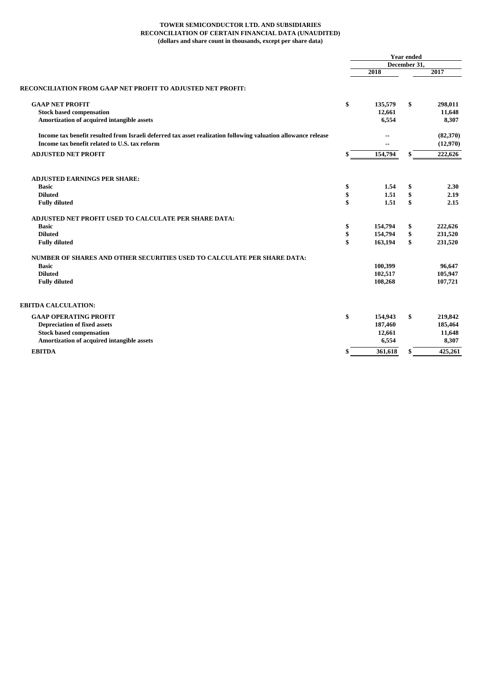#### **TOWER SEMICONDUCTOR LTD. AND SUBSIDIARIES RECONCILIATION OF CERTAIN FINANCIAL DATA (UNAUDITED) (dollars and share count in thousands, except per share data)**

|                                                                                                                                                                |    | <b>Year ended</b><br>December 31, |    |                      |  |
|----------------------------------------------------------------------------------------------------------------------------------------------------------------|----|-----------------------------------|----|----------------------|--|
|                                                                                                                                                                |    |                                   |    |                      |  |
|                                                                                                                                                                |    | 2018                              |    | 2017                 |  |
| RECONCILIATION FROM GAAP NET PROFIT TO ADJUSTED NET PROFIT:                                                                                                    |    |                                   |    |                      |  |
| <b>GAAP NET PROFIT</b>                                                                                                                                         | \$ | 135,579                           | \$ | 298,011              |  |
| <b>Stock based compensation</b>                                                                                                                                |    | 12,661                            |    | 11,648               |  |
| Amortization of acquired intangible assets                                                                                                                     |    | 6,554                             |    | 8,307                |  |
| Income tax benefit resulted from Israeli deferred tax asset realization following valuation allowance release<br>Income tax benefit related to U.S. tax reform |    | --                                |    | (82,370)<br>(12,970) |  |
| <b>ADJUSTED NET PROFIT</b>                                                                                                                                     | \$ | 154,794                           | \$ | 222,626              |  |
| <b>ADJUSTED EARNINGS PER SHARE:</b>                                                                                                                            |    |                                   |    |                      |  |
| <b>Basic</b>                                                                                                                                                   | \$ | 1.54                              | \$ | 2.30                 |  |
| <b>Diluted</b>                                                                                                                                                 | \$ | 1.51                              | \$ | 2.19                 |  |
| <b>Fully diluted</b>                                                                                                                                           | \$ | 1.51                              | \$ | 2.15                 |  |
| ADJUSTED NET PROFIT USED TO CALCULATE PER SHARE DATA:                                                                                                          |    |                                   |    |                      |  |
| <b>Basic</b>                                                                                                                                                   | \$ | 154,794                           | \$ | 222,626              |  |
| <b>Diluted</b>                                                                                                                                                 | \$ | 154,794                           | \$ | 231,520              |  |
| <b>Fully diluted</b>                                                                                                                                           | \$ | 163,194                           | \$ | 231,520              |  |
| NUMBER OF SHARES AND OTHER SECURITIES USED TO CALCULATE PER SHARE DATA:                                                                                        |    |                                   |    |                      |  |
| <b>Basic</b>                                                                                                                                                   |    | 100,399                           |    | 96,647               |  |
| <b>Diluted</b>                                                                                                                                                 |    | 102,517                           |    | 105,947              |  |
| <b>Fully diluted</b>                                                                                                                                           |    | 108,268                           |    | 107,721              |  |
| EBITDA CALCULATION:                                                                                                                                            |    |                                   |    |                      |  |
| <b>GAAP OPERATING PROFIT</b>                                                                                                                                   | \$ | 154,943                           | \$ | 219,842              |  |
| <b>Depreciation of fixed assets</b>                                                                                                                            |    | 187,460                           |    | 185,464              |  |
| <b>Stock based compensation</b>                                                                                                                                |    | 12,661                            |    | 11,648               |  |
| Amortization of acquired intangible assets                                                                                                                     |    | 6,554                             |    | 8,307                |  |
| <b>EBITDA</b>                                                                                                                                                  |    | 361,618                           | S  | 425,261              |  |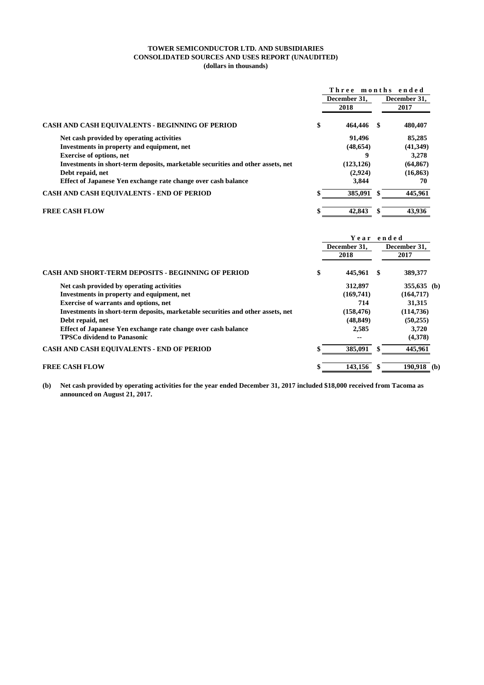#### **TOWER SEMICONDUCTOR LTD. AND SUBSIDIARIES CONSOLIDATED SOURCES AND USES REPORT (UNAUDITED) (dollars in thousands)**

|                                                                                 | Three months ended |              |
|---------------------------------------------------------------------------------|--------------------|--------------|
|                                                                                 | December 31.       | December 31. |
|                                                                                 | 2018               | 2017         |
| CASH AND CASH EQUIVALENTS - BEGINNING OF PERIOD                                 | \$<br>464,446      | 480,407      |
| Net cash provided by operating activities                                       | 91.496             | 85,285       |
| Investments in property and equipment, net                                      | (48, 654)          | (41, 349)    |
| <b>Exercise of options, net</b>                                                 | 9                  | 3,278        |
| Investments in short-term deposits, marketable securities and other assets, net | (123, 126)         | (64, 867)    |
| Debt repaid, net                                                                | (2,924)            | (16, 863)    |
| Effect of Japanese Yen exchange rate change over cash balance                   | 3,844              | 70           |
| <b>CASH AND CASH EQUIVALENTS - END OF PERIOD</b>                                | 385,091            | 445,961      |
| FREE CASH FLOW                                                                  | 42,843             | 43,936       |
|                                                                                 |                    |              |

|                                                                                 |    | Year                 | ended                |  |
|---------------------------------------------------------------------------------|----|----------------------|----------------------|--|
|                                                                                 |    | December 31.<br>2018 | December 31,<br>2017 |  |
| <b>CASH AND SHORT-TERM DEPOSITS - BEGINNING OF PERIOD</b>                       | \$ | 445.961              | \$<br>389,377        |  |
| Net cash provided by operating activities                                       |    | 312,897              | 355,635 (b)          |  |
| Investments in property and equipment, net                                      |    | (169,741)            | (164, 717)           |  |
| <b>Exercise of warrants and options, net</b>                                    |    | 714                  | 31,315               |  |
| Investments in short-term deposits, marketable securities and other assets, net |    | (158, 476)           | (114, 736)           |  |
| Debt repaid, net                                                                |    | (48, 849)            | (50, 255)            |  |
| Effect of Japanese Yen exchange rate change over cash balance                   |    | 2,585                | 3,720                |  |
| <b>TPSCo dividend to Panasonic</b>                                              |    | --                   | (4,378)              |  |
| <b>CASH AND CASH EQUIVALENTS - END OF PERIOD</b>                                | ж  | 385,091              | 445,961              |  |
| <b>FREE CASH FLOW</b>                                                           |    | 143.156              | $190,918$ (b)        |  |

**(b) Net cash provided by operating activities for the year ended December 31, 2017 included \$18,000 received from Tacoma as announced on August 21, 2017.**